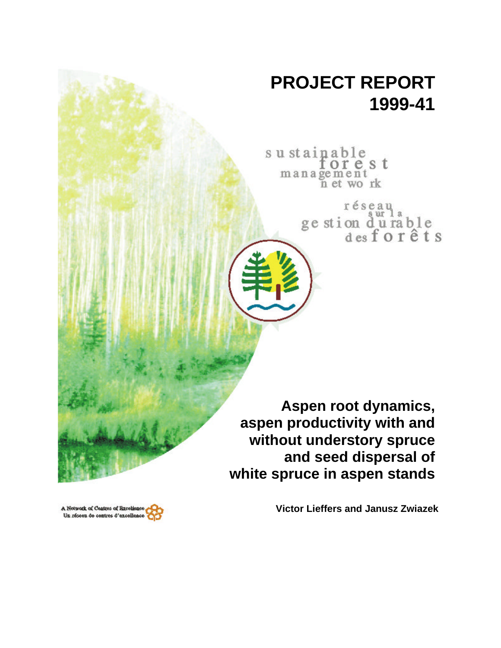# **PROJECT REPORT 1999-41**

sustainable orest management<br>n et work

> réseau ur ge stion durable<br>desforêts

**Aspen root dynamics, aspen productivity with and without understory spruce and seed dispersal of white spruce in aspen stands**

**Victor Lieffers and Janusz Zwiazek**

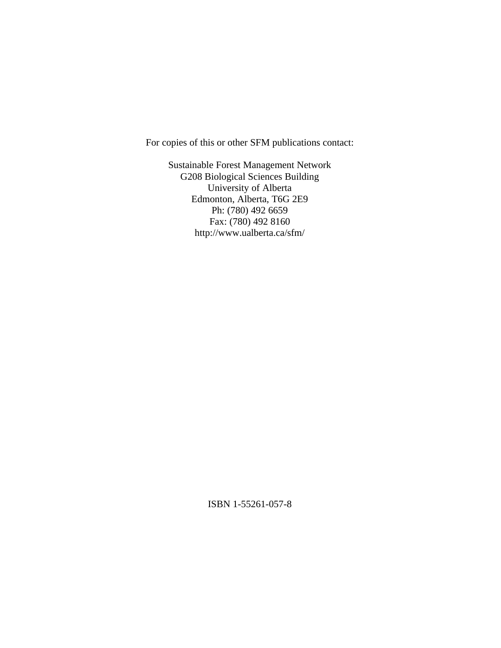For copies of this or other SFM publications contact:

Sustainable Forest Management Network G208 Biological Sciences Building University of Alberta Edmonton, Alberta, T6G 2E9 Ph: (780) 492 6659 Fax: (780) 492 8160 http://www.ualberta.ca/sfm/

ISBN 1-55261-057-8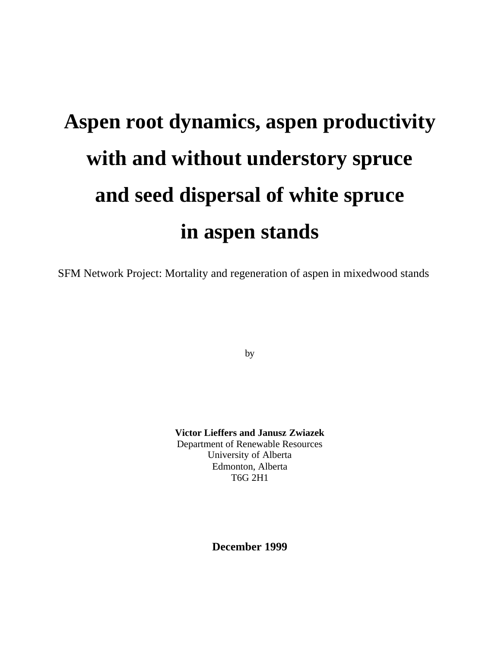# **Aspen root dynamics, aspen productivity with and without understory spruce and seed dispersal of white spruce in aspen stands**

SFM Network Project: Mortality and regeneration of aspen in mixedwood stands

by

**Victor Lieffers and Janusz Zwiazek** Department of Renewable Resources University of Alberta Edmonton, Alberta T6G 2H1

**December 1999**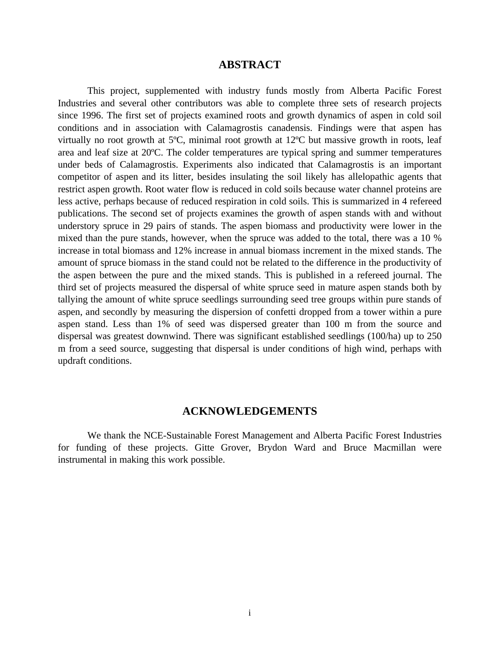# **ABSTRACT**

This project, supplemented with industry funds mostly from Alberta Pacific Forest Industries and several other contributors was able to complete three sets of research projects since 1996. The first set of projects examined roots and growth dynamics of aspen in cold soil conditions and in association with Calamagrostis canadensis. Findings were that aspen has virtually no root growth at 5ºC, minimal root growth at 12ºC but massive growth in roots, leaf area and leaf size at 20ºC. The colder temperatures are typical spring and summer temperatures under beds of Calamagrostis. Experiments also indicated that Calamagrostis is an important competitor of aspen and its litter, besides insulating the soil likely has allelopathic agents that restrict aspen growth. Root water flow is reduced in cold soils because water channel proteins are less active, perhaps because of reduced respiration in cold soils. This is summarized in 4 refereed publications. The second set of projects examines the growth of aspen stands with and without understory spruce in 29 pairs of stands. The aspen biomass and productivity were lower in the mixed than the pure stands, however, when the spruce was added to the total, there was a 10 % increase in total biomass and 12% increase in annual biomass increment in the mixed stands. The amount of spruce biomass in the stand could not be related to the difference in the productivity of the aspen between the pure and the mixed stands. This is published in a refereed journal. The third set of projects measured the dispersal of white spruce seed in mature aspen stands both by tallying the amount of white spruce seedlings surrounding seed tree groups within pure stands of aspen, and secondly by measuring the dispersion of confetti dropped from a tower within a pure aspen stand. Less than 1% of seed was dispersed greater than 100 m from the source and dispersal was greatest downwind. There was significant established seedlings (100/ha) up to 250 m from a seed source, suggesting that dispersal is under conditions of high wind, perhaps with updraft conditions.

#### **ACKNOWLEDGEMENTS**

We thank the NCE-Sustainable Forest Management and Alberta Pacific Forest Industries for funding of these projects. Gitte Grover, Brydon Ward and Bruce Macmillan were instrumental in making this work possible.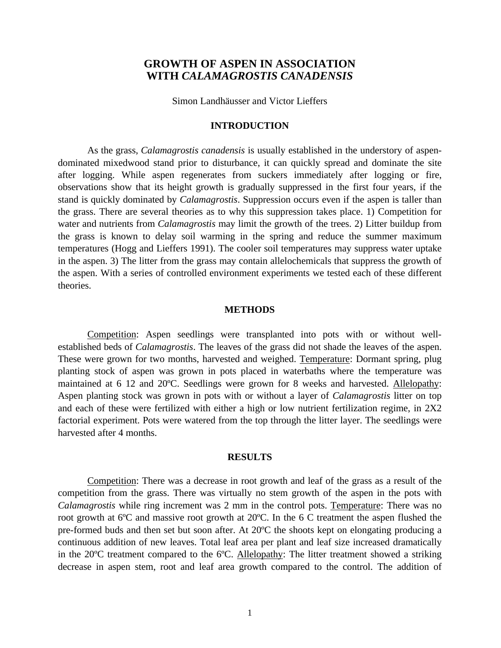# **GROWTH OF ASPEN IN ASSOCIATION WITH** *CALAMAGROSTIS CANADENSIS*

Simon Landhäusser and Victor Lieffers

#### **INTRODUCTION**

As the grass, *Calamagrostis canadensis* is usually established in the understory of aspendominated mixedwood stand prior to disturbance, it can quickly spread and dominate the site after logging. While aspen regenerates from suckers immediately after logging or fire, observations show that its height growth is gradually suppressed in the first four years, if the stand is quickly dominated by *Calamagrostis*. Suppression occurs even if the aspen is taller than the grass. There are several theories as to why this suppression takes place. 1) Competition for water and nutrients from *Calamagrostis* may limit the growth of the trees. 2) Litter buildup from the grass is known to delay soil warming in the spring and reduce the summer maximum temperatures (Hogg and Lieffers 1991). The cooler soil temperatures may suppress water uptake in the aspen. 3) The litter from the grass may contain allelochemicals that suppress the growth of the aspen. With a series of controlled environment experiments we tested each of these different theories.

#### **METHODS**

Competition: Aspen seedlings were transplanted into pots with or without wellestablished beds of *Calamagrostis*. The leaves of the grass did not shade the leaves of the aspen. These were grown for two months, harvested and weighed. Temperature: Dormant spring, plug planting stock of aspen was grown in pots placed in waterbaths where the temperature was maintained at 6 12 and 20ºC. Seedlings were grown for 8 weeks and harvested. Allelopathy: Aspen planting stock was grown in pots with or without a layer of *Calamagrostis* litter on top and each of these were fertilized with either a high or low nutrient fertilization regime, in 2X2 factorial experiment. Pots were watered from the top through the litter layer. The seedlings were harvested after 4 months.

#### **RESULTS**

Competition: There was a decrease in root growth and leaf of the grass as a result of the competition from the grass. There was virtually no stem growth of the aspen in the pots with *Calamagrostis* while ring increment was 2 mm in the control pots. Temperature: There was no root growth at 6ºC and massive root growth at 20ºC. In the 6 C treatment the aspen flushed the pre-formed buds and then set but soon after. At 20ºC the shoots kept on elongating producing a continuous addition of new leaves. Total leaf area per plant and leaf size increased dramatically in the 20ºC treatment compared to the 6ºC. Allelopathy: The litter treatment showed a striking decrease in aspen stem, root and leaf area growth compared to the control. The addition of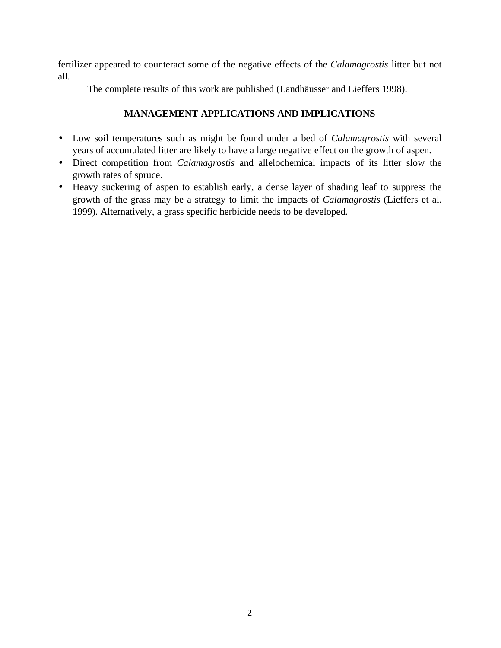fertilizer appeared to counteract some of the negative effects of the *Calamagrostis* litter but not all.

The complete results of this work are published (Landhäusser and Lieffers 1998).

- Low soil temperatures such as might be found under a bed of *Calamagrostis* with several years of accumulated litter are likely to have a large negative effect on the growth of aspen.
- Direct competition from *Calamagrostis* and allelochemical impacts of its litter slow the growth rates of spruce.
- Heavy suckering of aspen to establish early, a dense layer of shading leaf to suppress the growth of the grass may be a strategy to limit the impacts of *Calamagrostis* (Lieffers et al. 1999). Alternatively, a grass specific herbicide needs to be developed.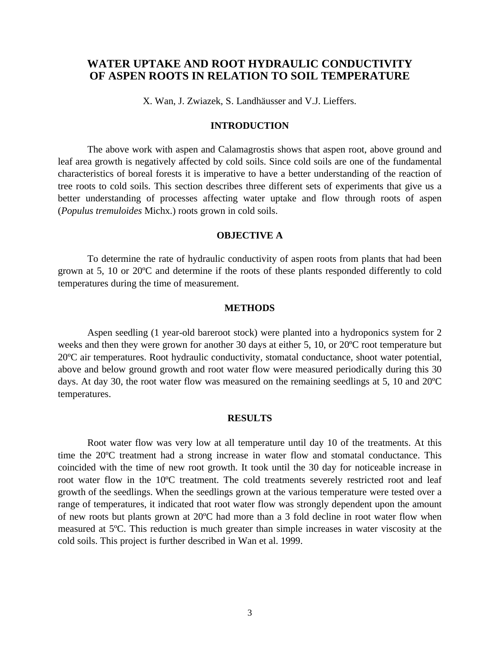# **WATER UPTAKE AND ROOT HYDRAULIC CONDUCTIVITY OF ASPEN ROOTS IN RELATION TO SOIL TEMPERATURE**

X. Wan, J. Zwiazek, S. Landhäusser and V.J. Lieffers.

#### **INTRODUCTION**

The above work with aspen and Calamagrostis shows that aspen root, above ground and leaf area growth is negatively affected by cold soils. Since cold soils are one of the fundamental characteristics of boreal forests it is imperative to have a better understanding of the reaction of tree roots to cold soils. This section describes three different sets of experiments that give us a better understanding of processes affecting water uptake and flow through roots of aspen (*Populus tremuloides* Michx.) roots grown in cold soils.

#### **OBJECTIVE A**

To determine the rate of hydraulic conductivity of aspen roots from plants that had been grown at 5, 10 or 20ºC and determine if the roots of these plants responded differently to cold temperatures during the time of measurement.

#### **METHODS**

Aspen seedling (1 year-old bareroot stock) were planted into a hydroponics system for 2 weeks and then they were grown for another 30 days at either 5, 10, or 20ºC root temperature but 20ºC air temperatures. Root hydraulic conductivity, stomatal conductance, shoot water potential, above and below ground growth and root water flow were measured periodically during this 30 days. At day 30, the root water flow was measured on the remaining seedlings at 5, 10 and 20ºC temperatures.

#### **RESULTS**

Root water flow was very low at all temperature until day 10 of the treatments. At this time the 20ºC treatment had a strong increase in water flow and stomatal conductance. This coincided with the time of new root growth. It took until the 30 day for noticeable increase in root water flow in the 10ºC treatment. The cold treatments severely restricted root and leaf growth of the seedlings. When the seedlings grown at the various temperature were tested over a range of temperatures, it indicated that root water flow was strongly dependent upon the amount of new roots but plants grown at 20ºC had more than a 3 fold decline in root water flow when measured at 5ºC. This reduction is much greater than simple increases in water viscosity at the cold soils. This project is further described in Wan et al. 1999.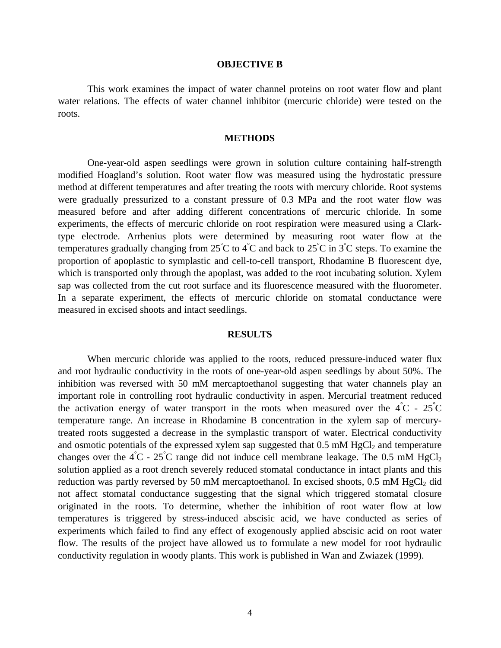#### **OBJECTIVE B**

This work examines the impact of water channel proteins on root water flow and plant water relations. The effects of water channel inhibitor (mercuric chloride) were tested on the roots.

#### **METHODS**

One-year-old aspen seedlings were grown in solution culture containing half-strength modified Hoagland's solution. Root water flow was measured using the hydrostatic pressure method at different temperatures and after treating the roots with mercury chloride. Root systems were gradually pressurized to a constant pressure of 0.3 MPa and the root water flow was measured before and after adding different concentrations of mercuric chloride. In some experiments, the effects of mercuric chloride on root respiration were measured using a Clarktype electrode. Arrhenius plots were determined by measuring root water flow at the temperatures gradually changing from  $25^{\circ}C$  to  $4^{\circ}C$  and back to  $25^{\circ}C$  in  $3^{\circ}C$  steps. To examine the proportion of apoplastic to symplastic and cell-to-cell transport, Rhodamine B fluorescent dye, which is transported only through the apoplast, was added to the root incubating solution. Xylem sap was collected from the cut root surface and its fluorescence measured with the fluorometer. In a separate experiment, the effects of mercuric chloride on stomatal conductance were measured in excised shoots and intact seedlings.

#### **RESULTS**

When mercuric chloride was applied to the roots, reduced pressure-induced water flux and root hydraulic conductivity in the roots of one-year-old aspen seedlings by about 50%. The inhibition was reversed with 50 mM mercaptoethanol suggesting that water channels play an important role in controlling root hydraulic conductivity in aspen. Mercurial treatment reduced the activation energy of water transport in the roots when measured over the  $\angle 4^{\circ}$ C -  $25^{\circ}$ C temperature range. An increase in Rhodamine B concentration in the xylem sap of mercurytreated roots suggested a decrease in the symplastic transport of water. Electrical conductivity and osmotic potentials of the expressed xylem sap suggested that  $0.5 \text{ mM HgCl}_2$  and temperature changes over the  $\angle$  4°C - 25°C range did not induce cell membrane leakage. The 0.5 mM HgCl<sub>2</sub> solution applied as a root drench severely reduced stomatal conductance in intact plants and this reduction was partly reversed by 50 mM mercaptoethanol. In excised shoots,  $0.5$  mM HgCl<sub>2</sub> did not affect stomatal conductance suggesting that the signal which triggered stomatal closure originated in the roots. To determine, whether the inhibition of root water flow at low temperatures is triggered by stress-induced abscisic acid, we have conducted as series of experiments which failed to find any effect of exogenously applied abscisic acid on root water flow. The results of the project have allowed us to formulate a new model for root hydraulic conductivity regulation in woody plants. This work is published in Wan and Zwiazek (1999).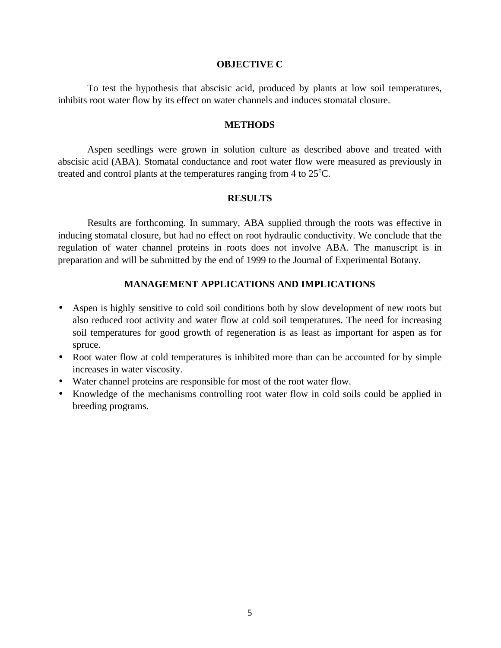#### **OBJECTIVE C**

To test the hypothesis that abscisic acid, produced by plants at low soil temperatures, inhibits root water flow by its effect on water channels and induces stomatal closure.

#### **METHODS**

Aspen seedlings were grown in solution culture as described above and treated with abscisic acid (ABA). Stomatal conductance and root water flow were measured as previously in treated and control plants at the temperatures ranging from 4 to  $25^{\circ}$ C.

# **RESULTS**

Results are forthcoming. In summary, ABA supplied through the roots was effective in inducing stomatal closure, but had no effect on root hydraulic conductivity. We conclude that the regulation of water channel proteins in roots does not involve ABA. The manuscript is in preparation and will be submitted by the end of 1999 to the Journal of Experimental Botany.

- Aspen is highly sensitive to cold soil conditions both by slow development of new roots but also reduced root activity and water flow at cold soil temperatures. The need for increasing soil temperatures for good growth of regeneration is as least as important for aspen as for spruce.
- Root water flow at cold temperatures is inhibited more than can be accounted for by simple increases in water viscosity.
- Water channel proteins are responsible for most of the root water flow.
- Knowledge of the mechanisms controlling root water flow in cold soils could be applied in breeding programs.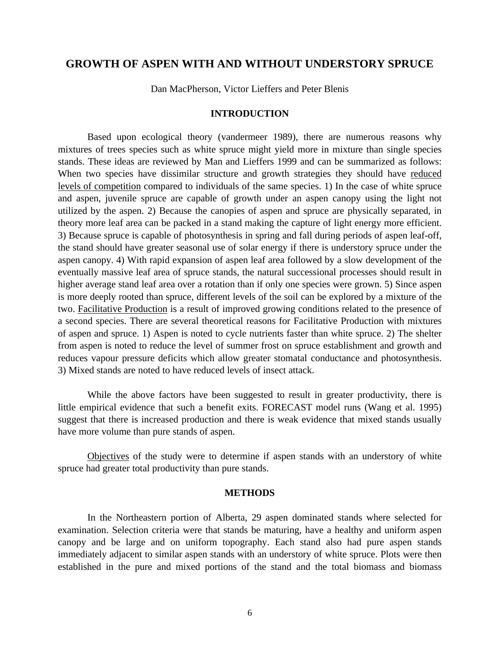# **GROWTH OF ASPEN WITH AND WITHOUT UNDERSTORY SPRUCE**

Dan MacPherson, Victor Lieffers and Peter Blenis

#### **INTRODUCTION**

Based upon ecological theory (vandermeer 1989), there are numerous reasons why mixtures of trees species such as white spruce might yield more in mixture than single species stands. These ideas are reviewed by Man and Lieffers 1999 and can be summarized as follows: When two species have dissimilar structure and growth strategies they should have reduced levels of competition compared to individuals of the same species. 1) In the case of white spruce and aspen, juvenile spruce are capable of growth under an aspen canopy using the light not utilized by the aspen. 2) Because the canopies of aspen and spruce are physically separated, in theory more leaf area can be packed in a stand making the capture of light energy more efficient. 3) Because spruce is capable of photosynthesis in spring and fall during periods of aspen leaf-off, the stand should have greater seasonal use of solar energy if there is understory spruce under the aspen canopy. 4) With rapid expansion of aspen leaf area followed by a slow development of the eventually massive leaf area of spruce stands, the natural successional processes should result in higher average stand leaf area over a rotation than if only one species were grown. 5) Since aspen is more deeply rooted than spruce, different levels of the soil can be explored by a mixture of the two. Facilitative Production is a result of improved growing conditions related to the presence of a second species. There are several theoretical reasons for Facilitative Production with mixtures of aspen and spruce. 1) Aspen is noted to cycle nutrients faster than white spruce. 2) The shelter from aspen is noted to reduce the level of summer frost on spruce establishment and growth and reduces vapour pressure deficits which allow greater stomatal conductance and photosynthesis. 3) Mixed stands are noted to have reduced levels of insect attack.

While the above factors have been suggested to result in greater productivity, there is little empirical evidence that such a benefit exits. FORECAST model runs (Wang et al. 1995) suggest that there is increased production and there is weak evidence that mixed stands usually have more volume than pure stands of aspen.

Objectives of the study were to determine if aspen stands with an understory of white spruce had greater total productivity than pure stands.

#### **METHODS**

In the Northeastern portion of Alberta, 29 aspen dominated stands where selected for examination. Selection criteria were that stands be maturing, have a healthy and uniform aspen canopy and be large and on uniform topography. Each stand also had pure aspen stands immediately adjacent to similar aspen stands with an understory of white spruce. Plots were then established in the pure and mixed portions of the stand and the total biomass and biomass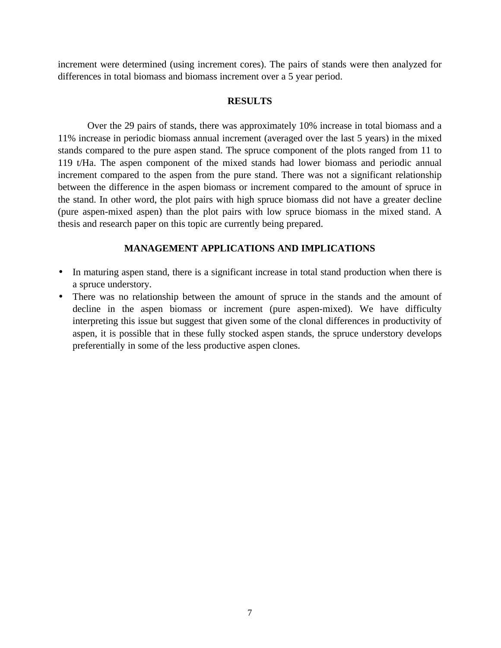increment were determined (using increment cores). The pairs of stands were then analyzed for differences in total biomass and biomass increment over a 5 year period.

# **RESULTS**

Over the 29 pairs of stands, there was approximately 10% increase in total biomass and a 11% increase in periodic biomass annual increment (averaged over the last 5 years) in the mixed stands compared to the pure aspen stand. The spruce component of the plots ranged from 11 to 119 t/Ha. The aspen component of the mixed stands had lower biomass and periodic annual increment compared to the aspen from the pure stand. There was not a significant relationship between the difference in the aspen biomass or increment compared to the amount of spruce in the stand. In other word, the plot pairs with high spruce biomass did not have a greater decline (pure aspen-mixed aspen) than the plot pairs with low spruce biomass in the mixed stand. A thesis and research paper on this topic are currently being prepared.

- In maturing aspen stand, there is a significant increase in total stand production when there is a spruce understory.
- There was no relationship between the amount of spruce in the stands and the amount of decline in the aspen biomass or increment (pure aspen-mixed). We have difficulty interpreting this issue but suggest that given some of the clonal differences in productivity of aspen, it is possible that in these fully stocked aspen stands, the spruce understory develops preferentially in some of the less productive aspen clones.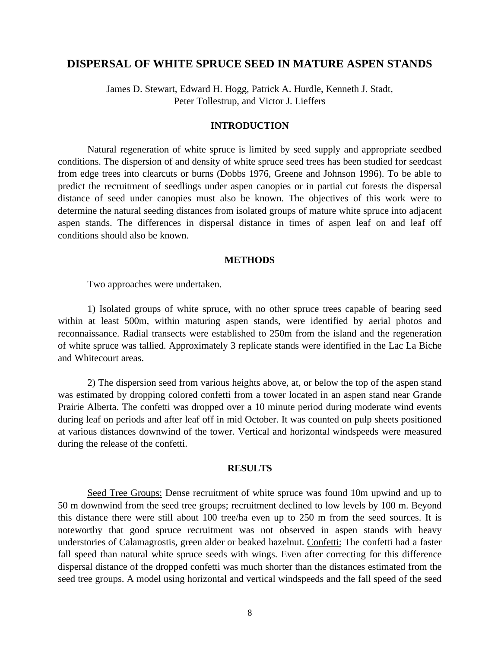# **DISPERSAL OF WHITE SPRUCE SEED IN MATURE ASPEN STANDS**

James D. Stewart, Edward H. Hogg, Patrick A. Hurdle, Kenneth J. Stadt, Peter Tollestrup, and Victor J. Lieffers

#### **INTRODUCTION**

Natural regeneration of white spruce is limited by seed supply and appropriate seedbed conditions. The dispersion of and density of white spruce seed trees has been studied for seedcast from edge trees into clearcuts or burns (Dobbs 1976, Greene and Johnson 1996). To be able to predict the recruitment of seedlings under aspen canopies or in partial cut forests the dispersal distance of seed under canopies must also be known. The objectives of this work were to determine the natural seeding distances from isolated groups of mature white spruce into adjacent aspen stands. The differences in dispersal distance in times of aspen leaf on and leaf off conditions should also be known.

#### **METHODS**

Two approaches were undertaken.

1) Isolated groups of white spruce, with no other spruce trees capable of bearing seed within at least 500m, within maturing aspen stands, were identified by aerial photos and reconnaissance. Radial transects were established to 250m from the island and the regeneration of white spruce was tallied. Approximately 3 replicate stands were identified in the Lac La Biche and Whitecourt areas.

2) The dispersion seed from various heights above, at, or below the top of the aspen stand was estimated by dropping colored confetti from a tower located in an aspen stand near Grande Prairie Alberta. The confetti was dropped over a 10 minute period during moderate wind events during leaf on periods and after leaf off in mid October. It was counted on pulp sheets positioned at various distances downwind of the tower. Vertical and horizontal windspeeds were measured during the release of the confetti.

#### **RESULTS**

Seed Tree Groups: Dense recruitment of white spruce was found 10m upwind and up to 50 m downwind from the seed tree groups; recruitment declined to low levels by 100 m. Beyond this distance there were still about 100 tree/ha even up to 250 m from the seed sources. It is noteworthy that good spruce recruitment was not observed in aspen stands with heavy understories of Calamagrostis, green alder or beaked hazelnut. Confetti: The confetti had a faster fall speed than natural white spruce seeds with wings. Even after correcting for this difference dispersal distance of the dropped confetti was much shorter than the distances estimated from the seed tree groups. A model using horizontal and vertical windspeeds and the fall speed of the seed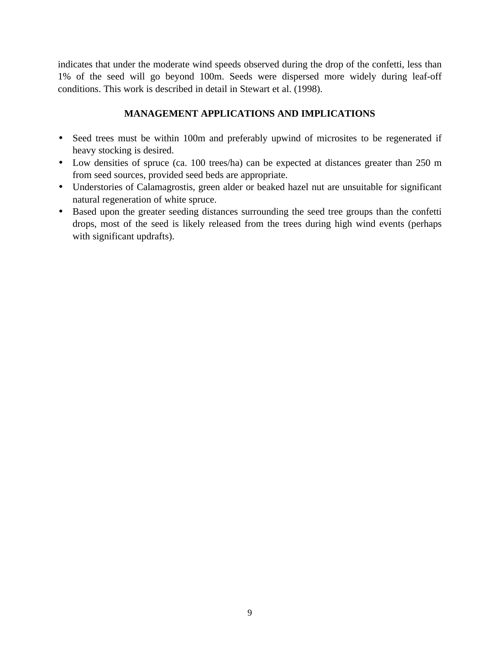indicates that under the moderate wind speeds observed during the drop of the confetti, less than 1% of the seed will go beyond 100m. Seeds were dispersed more widely during leaf-off conditions. This work is described in detail in Stewart et al. (1998).

- Seed trees must be within 100m and preferably upwind of microsites to be regenerated if heavy stocking is desired.
- Low densities of spruce (ca. 100 trees/ha) can be expected at distances greater than 250 m from seed sources, provided seed beds are appropriate.
- Understories of Calamagrostis, green alder or beaked hazel nut are unsuitable for significant natural regeneration of white spruce.
- Based upon the greater seeding distances surrounding the seed tree groups than the confetti drops, most of the seed is likely released from the trees during high wind events (perhaps with significant updrafts).